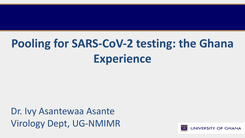# **Pooling for SARS-CoV-2 testing: the Ghana Experience**

Dr. Ivy Asantewaa Asante Virology Dept, UG-NMIMR

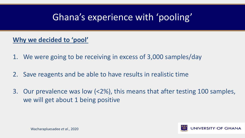# Ghana's experience with 'pooling'

#### **Why we decided to 'pool'**

- 1. We were going to be receiving in excess of 3,000 samples/day
- 2. Save reagents and be able to have results in realistic time
- 3. Our prevalence was low (<2%), this means that after testing 100 samples, we will get about 1 being positive

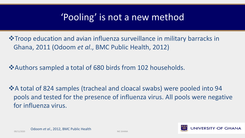# 'Pooling' is not a new method

 $\dots$ **Troop education and avian influenza surveillance in military barracks in** Ghana, 2011 (Odoom *et al*., BMC Public Health, 2012)

**V**Authors sampled a total of 680 birds from 102 households.

**VA total of 824 samples (tracheal and cloacal swabs) were pooled into 94** pools and tested for the presence of influenza virus. All pools were negative for influenza virus.

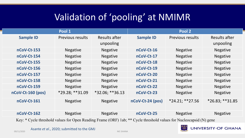# Validation of 'pooling' at NMIMR

| Pool 1                                                                                                              |                         |                            | Pool 2           |                         |                            |  |
|---------------------------------------------------------------------------------------------------------------------|-------------------------|----------------------------|------------------|-------------------------|----------------------------|--|
| <b>Sample ID</b>                                                                                                    | <b>Previous results</b> | Results after<br>unpooling | <b>Sample ID</b> | <b>Previous results</b> | Results after<br>unpooling |  |
| nCoV-Ct-153                                                                                                         | <b>Negative</b>         | <b>Negative</b>            | nCoV-Ct-16       | <b>Negative</b>         | <b>Negative</b>            |  |
| nCoV-Ct-154                                                                                                         | <b>Negative</b>         | <b>Negative</b>            | nCoV-Ct-17       | <b>Negative</b>         | <b>Negative</b>            |  |
| nCoV-Ct-155                                                                                                         | <b>Negative</b>         | <b>Negative</b>            | nCoV-Ct-18       | <b>Negative</b>         | <b>Negative</b>            |  |
| nCoV-Ct-156                                                                                                         | <b>Negative</b>         | <b>Negative</b>            | nCoV-Ct-19       | <b>Negative</b>         | <b>Negative</b>            |  |
| nCoV-Ct-157                                                                                                         | <b>Negative</b>         | <b>Negative</b>            | nCoV-Ct-20       | <b>Negative</b>         | <b>Negative</b>            |  |
| nCoV-Ct-158                                                                                                         | <b>Negative</b>         | <b>Negative</b>            | nCoV-Ct-21       | <b>Negative</b>         | <b>Negative</b>            |  |
| nCoV-Ct-159                                                                                                         | <b>Negative</b>         | <b>Negative</b>            | nCoV-Ct-22       | <b>Negative</b>         | <b>Negative</b>            |  |
| nCoV-Ct-160 (pos)                                                                                                   | *29.28; **31.09         | *32.06; **36.13            | nCoV-Ct-23       | <b>Negative</b>         | <b>Negative</b>            |  |
| nCoV-Ct-161                                                                                                         | <b>Negative</b>         | <b>Negative</b>            | nCoV-Ct-24 (pos) | $*24.21; **27.56$       | $*26.83; **31.85$          |  |
| nCoV-Ct-162                                                                                                         | <b>Negative</b>         | <b>Negative</b>            | nCoV-Ct-25       | <b>Negative</b>         | <b>Negative</b>            |  |
| Key: * Cycle threshold values for Open Reading Frame (ORF) 1ab; ** Cycle threshold values for Nucleocapsid (N) gene |                         |                            |                  |                         |                            |  |

**Asante** *et al.***, 2020; submitted to the GMJ** NIC GHANA

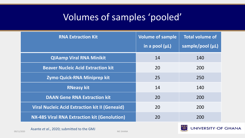# Volumes of samples 'pooled'

| <b>RNA Extraction Kit</b>                             | <b>Volume of sample</b><br>in a pool $(\mu L)$ | <b>Total volume of</b><br>sample/pool (µL) |
|-------------------------------------------------------|------------------------------------------------|--------------------------------------------|
| <b>QIAamp Viral RNA Minikit</b>                       | 14                                             | 140                                        |
| <b>Beaver Nucleic Acid Extraction kit</b>             | 20                                             | 200                                        |
| Zymo Quick-RNA Miniprep kit                           | 25                                             | 250                                        |
| <b>RNeasy kit</b>                                     | 14                                             | 140                                        |
| <b>DAAN Gene RNA Extraction kit</b>                   | 20                                             | 200                                        |
| <b>Viral Nucleic Acid Extraction kit II (Geneaid)</b> | 20                                             | 200                                        |
| <b>NX-48S Viral RNA Extraction kit (Genolution)</b>   | 20                                             | 200                                        |

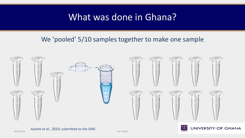### What was done in Ghana?

#### We 'pooled' 5/10 samples together to make one sample



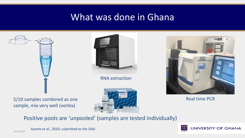### What was done in Ghana



RNA extraction

5/10 samples combined as one sample, mix very well (vortex)





Real time PCR

Positive pools are 'unpooled' (samples are tested individually)



Asante *et al*., 2020; submitted to the GMJ

09/11/2020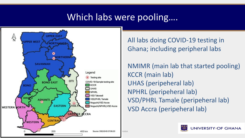# Which labs were pooling….



All labs doing COVID-19 testing in Ghana; including peripheral labs

NMIMR (main lab that started pooling) KCCR (main lab) UHAS (peripeheral lab) NPHRL (peripeheral lab) VSD/PHRL Tamale (peripeheral lab) VSD Accra (peripeheral lab)

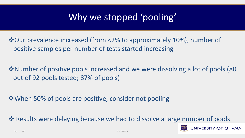# Why we stopped 'pooling'

**Vour prevalence increased (from <2% to approximately 10%), number of** positive samples per number of tests started increasing

**V** Number of positive pools increased and we were dissolving a lot of pools (80 out of 92 pools tested; 87% of pools)

**V**When 50% of pools are positive; consider not pooling

**Example Results were delaying because we had to dissolve a large number of pools**